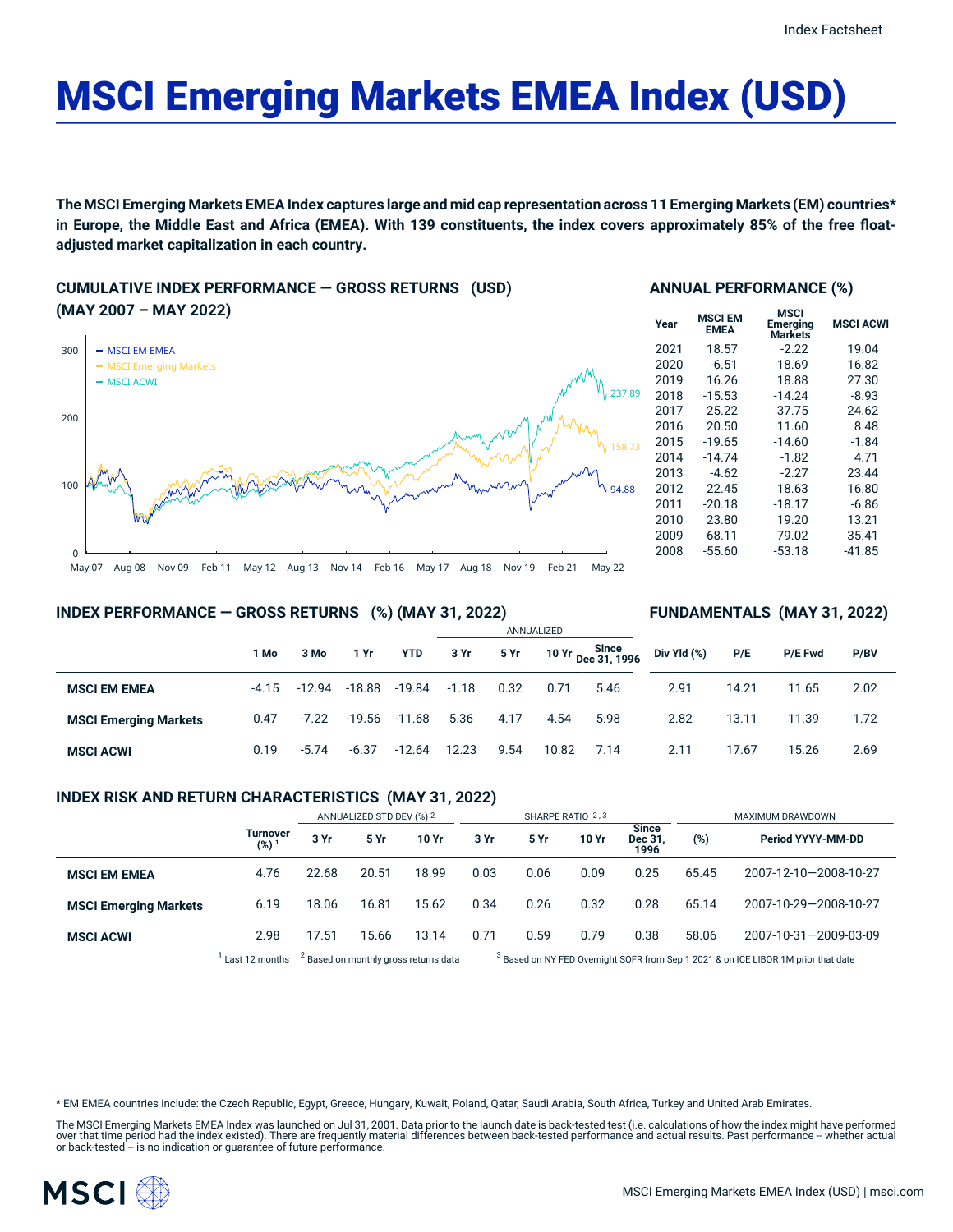# MSCI Emerging Markets EMEA Index (USD)

The MSCI Emerging Markets EMEA Index captures large and mid cap representation across 11 Emerging Markets (EM) countries\* in Europe, the Middle East and Africa (EMEA). With 139 constituents, the index covers approximately 85% of the free float**adjusted market capitalization in each country.**

## **CUMULATIVE INDEX PERFORMANCE — GROSS RETURNS (USD) (MAY 2007 – MAY 2022)**



## **ANNUAL PERFORMANCE (%)**

| <b>MSCI EM</b><br><b>EMEA</b> | <b>MSCI</b><br>Emerging<br><b>Markets</b> | <b>MSCI ACWI</b> |  |  |  |
|-------------------------------|-------------------------------------------|------------------|--|--|--|
| 18.57                         | $-2.22$                                   | 19.04            |  |  |  |
| $-6.51$                       | 18.69                                     | 16.82            |  |  |  |
| 16.26                         | 18.88                                     | 27.30            |  |  |  |
| $-15.53$                      | $-14.24$                                  | $-8.93$          |  |  |  |
| 25.22                         | 37.75                                     | 24.62            |  |  |  |
| 20.50                         | 11.60                                     | 8.48             |  |  |  |
| $-19.65$                      | $-14.60$                                  | $-1.84$          |  |  |  |
| $-14.74$                      | $-1.82$                                   | 4.71             |  |  |  |
| $-4.62$                       | $-2.27$                                   | 23.44            |  |  |  |
| 22.45                         | 18.63                                     | 16.80            |  |  |  |
| $-20.18$                      | $-18.17$                                  | $-6.86$          |  |  |  |
| 23.80                         | 19.20                                     | 13.21            |  |  |  |
| 68.11                         | 79.02                                     | 35.41            |  |  |  |
| $-55.60$                      | $-53.18$                                  | $-41.85$         |  |  |  |
|                               |                                           |                  |  |  |  |

**FUNDAMENTALS (MAY 31, 2022)**

## **INDEX PERFORMANCE — GROSS RETURNS (%) (MAY 31, 2022)**

#### ANNUALIZED **1 Mo 3 Mo 1 Yr YTD 3 Yr 5 Yr 10 Yr Since Dec 31, 1996 MSCI EM EMEA** -4.15 -12.94 -18.88 -19.84 -1.18 0.32 0.71 5.46 **MSCI Emerging Markets** 0.47 -7.22 -19.56 -11.68 5.36 4.17 4.54 5.98 **MSCI ACWI** 0.19 -5.74 -6.37 -12.64 12.23 9.54 10.82 7.14 **Div Yld (%) P/E P/E Fwd P/BV** 2.91 14.21 11.65 2.02 2.82 13.11 11.39 1.72 2.11 17.67 15.26 2.69

## **INDEX RISK AND RETURN CHARACTERISTICS (MAY 31, 2022)**

|                              |                        | ANNUALIZED STD DEV (%) 2                         |       | SHARPE RATIO 2,3 |      |                                                                                               |       | MAXIMUM DRAWDOWN                |       |                       |
|------------------------------|------------------------|--------------------------------------------------|-------|------------------|------|-----------------------------------------------------------------------------------------------|-------|---------------------------------|-------|-----------------------|
|                              | <b>Turnover</b><br>(%) | 3 Yr                                             | 5 Yr  | 10 Yr            | 3 Yr | 5 Yr                                                                                          | 10 Yr | <b>Since</b><br>Dec 31,<br>1996 | (%)   | Period YYYY-MM-DD     |
| <b>MSCI EM EMEA</b>          | 4.76                   | 22.68                                            | 20.51 | 18.99            | 0.03 | 0.06                                                                                          | 0.09  | 0.25                            | 65.45 | 2007-12-10-2008-10-27 |
| <b>MSCI Emerging Markets</b> | 6.19                   | 18.06                                            | 16.81 | 15.62            | 0.34 | 0.26                                                                                          | 0.32  | 0.28                            | 65.14 | 2007-10-29-2008-10-27 |
| <b>MSCI ACWI</b>             | 2.98                   | 17.51                                            | 15.66 | 13.14            | 0.71 | 0.59                                                                                          | 0.79  | 0.38                            | 58.06 | 2007-10-31-2009-03-09 |
|                              | Last 12 months         | <sup>2</sup> Based on monthly gross returns data |       |                  |      | <sup>3</sup> Based on NY FED Overnight SOFR from Sep 1 2021 & on ICE LIBOR 1M prior that date |       |                                 |       |                       |

Based on NY FED Overnight SOFR from Sep 1 2021 & on ICE LIBOR 1M prior that date

\* EM EMEA countries include: the Czech Republic, Egypt, Greece, Hungary, Kuwait, Poland, Qatar, Saudi Arabia, South Africa, Turkey and United Arab Emirates.

The MSCI Emerging Markets EMEA Index was launched on Jul 31, 2001. Data prior to the launch date is back-tested test (i.e. calculations of how the index might have performed over that time period had the index existed). There are frequently material differences between back-tested performance and actual results. Past performance – whether actual<br>or back-tested – is no indication or guarantee o

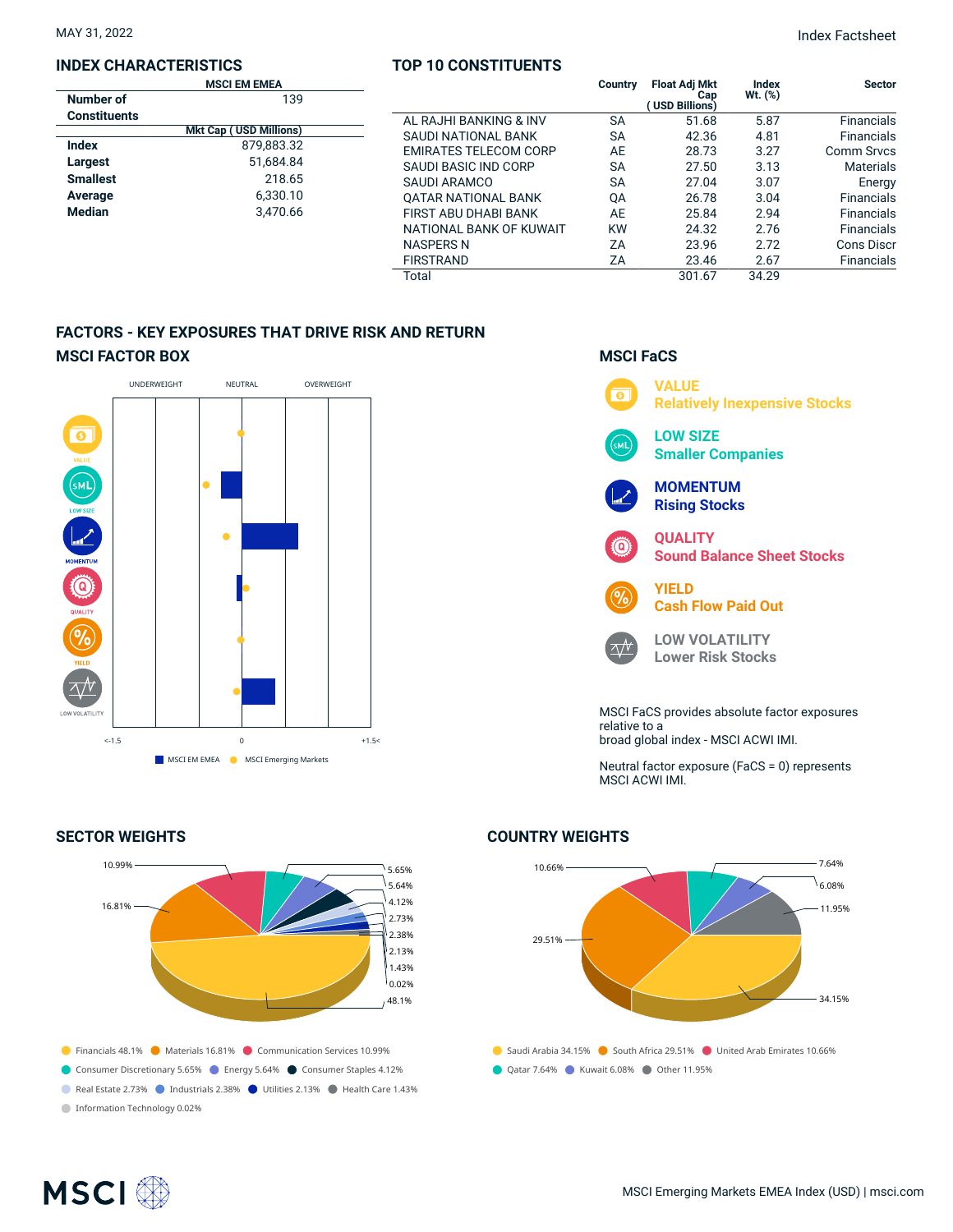## **INDEX CHARACTERISTICS**

## **TOP 10 CONSTITUENTS**

MAY 31, 2022 Index Factsheet

|                     | <b>MSCI EM EMEA</b>           |                              | Country   | <b>Float Adj Mkt</b>  | Index     | <b>Sector</b>     |
|---------------------|-------------------------------|------------------------------|-----------|-----------------------|-----------|-------------------|
| Number of           | 139                           |                              |           | Cap<br>(USD Billions) | $Wt.$ (%) |                   |
| <b>Constituents</b> |                               | AL RAJHI BANKING & INV       | <b>SA</b> | 51.68                 | 5.87      | <b>Financials</b> |
|                     | <b>Mkt Cap (USD Millions)</b> | SAUDI NATIONAL BANK          | <b>SA</b> | 42.36                 | 4.81      | <b>Financials</b> |
| <b>Index</b>        | 879,883.32                    | <b>EMIRATES TELECOM CORP</b> | AE        | 28.73                 | 3.27      | <b>Comm Srvcs</b> |
| Largest             | 51,684.84                     | SAUDI BASIC IND CORP         | <b>SA</b> | 27.50                 | 3.13      | <b>Materials</b>  |
| <b>Smallest</b>     | 218.65                        | SAUDI ARAMCO                 | <b>SA</b> | 27.04                 | 3.07      | Energy            |
| Average             | 6,330.10                      | OATAR NATIONAL BANK          | QA        | 26.78                 | 3.04      | <b>Financials</b> |
| Median              | 3,470.66                      | FIRST ABU DHABI BANK         | AE        | 25.84                 | 2.94      | <b>Financials</b> |
|                     |                               | NATIONAL BANK OF KUWAIT      | <b>KW</b> | 24.32                 | 2.76      | <b>Financials</b> |
|                     |                               | <b>NASPERS N</b>             | ΖA        | 23.96                 | 2.72      | <b>Cons Discr</b> |
|                     |                               | <b>FIRSTRAND</b>             | ZΑ        | 23.46                 | 2.67      | <b>Financials</b> |
|                     |                               | Total                        |           | 301.67                | 34.29     |                   |

## **FACTORS - KEY EXPOSURES THAT DRIVE RISK AND RETURN MSCI FACTOR BOX**



## **SECTOR WEIGHTS**



## **MSCI FaCS**



Neutral factor exposure (FaCS = 0) represents MSCI ACWI IMI.

## **COUNTRY WEIGHTS**